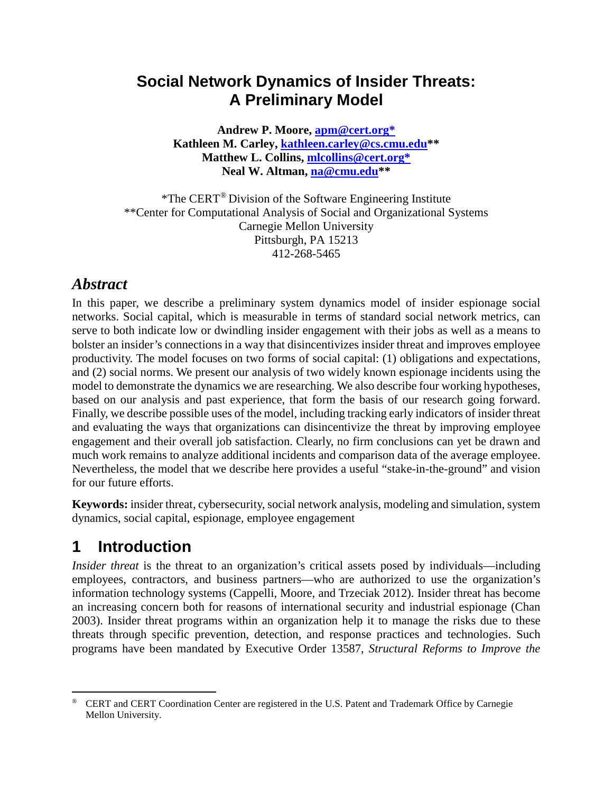### **Social Network Dynamics of Insider Threats: A Preliminary Model**

**Andrew P. Moore, [apm@cert.org\\*](mailto:apm@cert.org*) Kathleen M. Carley, [kathleen.carley@cs.cmu.edu\\*](mailto:kathleen.carley@cs.cmu.edu)\* Matthew L. Collins, [mlcollins@cert.org\\*](mailto:mlcollins@cert.org*) Neal W. Altman, [na@cmu.edu\\*](mailto:na@cmu.edu)\***

\*The CERT[®](#page-0-0) Division of the Software Engineering Institute \*\*Center for Computational Analysis of Social and Organizational Systems Carnegie Mellon University Pittsburgh, PA 15213 412-268-5465

### *Abstract*

In this paper, we describe a preliminary system dynamics model of insider espionage social networks. Social capital, which is measurable in terms of standard social network metrics, can serve to both indicate low or dwindling insider engagement with their jobs as well as a means to bolster an insider's connections in a way that disincentivizes insider threat and improves employee productivity. The model focuses on two forms of social capital: (1) obligations and expectations, and (2) social norms. We present our analysis of two widely known espionage incidents using the model to demonstrate the dynamics we are researching. We also describe four working hypotheses, based on our analysis and past experience, that form the basis of our research going forward. Finally, we describe possible uses of the model, including tracking early indicators of insider threat and evaluating the ways that organizations can disincentivize the threat by improving employee engagement and their overall job satisfaction. Clearly, no firm conclusions can yet be drawn and much work remains to analyze additional incidents and comparison data of the average employee. Nevertheless, the model that we describe here provides a useful "stake-in-the-ground" and vision for our future efforts.

**Keywords:** insider threat, cybersecurity, social network analysis, modeling and simulation, system dynamics, social capital, espionage, employee engagement

# **1 Introduction**

*Insider threat* is the threat to an organization's critical assets posed by individuals—including employees, contractors, and business partners—who are authorized to use the organization's information technology systems (Cappelli, Moore, and Trzeciak 2012). Insider threat has become an increasing concern both for reasons of international security and industrial espionage (Chan 2003). Insider threat programs within an organization help it to manage the risks due to these threats through specific prevention, detection, and response practices and technologies. Such programs have been mandated by Executive Order 13587, *Structural Reforms to Improve the* 

<span id="page-0-0"></span> <sup>®</sup> CERT and CERT Coordination Center are registered in the U.S. Patent and Trademark Office by Carnegie Mellon University.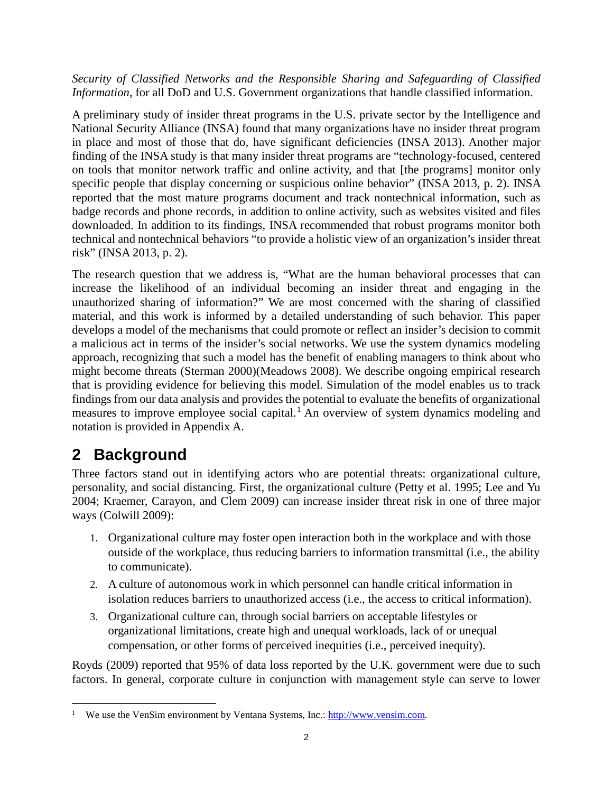#### *Security of Classified Networks and the Responsible Sharing and Safeguarding of Classified Information*, for all DoD and U.S. Government organizations that handle classified information.

A preliminary study of insider threat programs in the U.S. private sector by the Intelligence and National Security Alliance (INSA) found that many organizations have no insider threat program in place and most of those that do, have significant deficiencies (INSA 2013). Another major finding of the INSA study is that many insider threat programs are "technology-focused, centered on tools that monitor network traffic and online activity, and that [the programs] monitor only specific people that display concerning or suspicious online behavior" (INSA 2013, p. 2). INSA reported that the most mature programs document and track nontechnical information, such as badge records and phone records, in addition to online activity, such as websites visited and files downloaded. In addition to its findings, INSA recommended that robust programs monitor both technical and nontechnical behaviors "to provide a holistic view of an organization's insider threat risk" (INSA 2013, p. 2).

The research question that we address is, "What are the human behavioral processes that can increase the likelihood of an individual becoming an insider threat and engaging in the unauthorized sharing of information?" We are most concerned with the sharing of classified material, and this work is informed by a detailed understanding of such behavior. This paper develops a model of the mechanisms that could promote or reflect an insider's decision to commit a malicious act in terms of the insider's social networks. We use the system dynamics modeling approach, recognizing that such a model has the benefit of enabling managers to think about who might become threats (Sterman 2000)(Meadows 2008). We describe ongoing empirical research that is providing evidence for believing this model. Simulation of the model enables us to track findings from our data analysis and provides the potential to evaluate the benefits of organizational measures to improve employee social capital.<sup>[1](#page-1-0)</sup> An overview of system dynamics modeling and notation is provided in Appendix A.

## **2 Background**

Three factors stand out in identifying actors who are potential threats: organizational culture, personality, and social distancing. First, the organizational culture (Petty et al. 1995; Lee and Yu 2004; Kraemer, Carayon, and Clem 2009) can increase insider threat risk in one of three major ways (Colwill 2009):

- 1. Organizational culture may foster open interaction both in the workplace and with those outside of the workplace, thus reducing barriers to information transmittal (i.e., the ability to communicate).
- 2. A culture of autonomous work in which personnel can handle critical information in isolation reduces barriers to unauthorized access (i.e., the access to critical information).
- 3. Organizational culture can, through social barriers on acceptable lifestyles or organizational limitations, create high and unequal workloads, lack of or unequal compensation, or other forms of perceived inequities (i.e., perceived inequity).

Royds (2009) reported that 95% of data loss reported by the U.K. government were due to such factors. In general, corporate culture in conjunction with management style can serve to lower

<span id="page-1-0"></span><sup>&</sup>lt;sup>1</sup> We use the VenSim environment by Ventana Systems, Inc.: [http://www.vensim.com.](http://www.vensim.com/)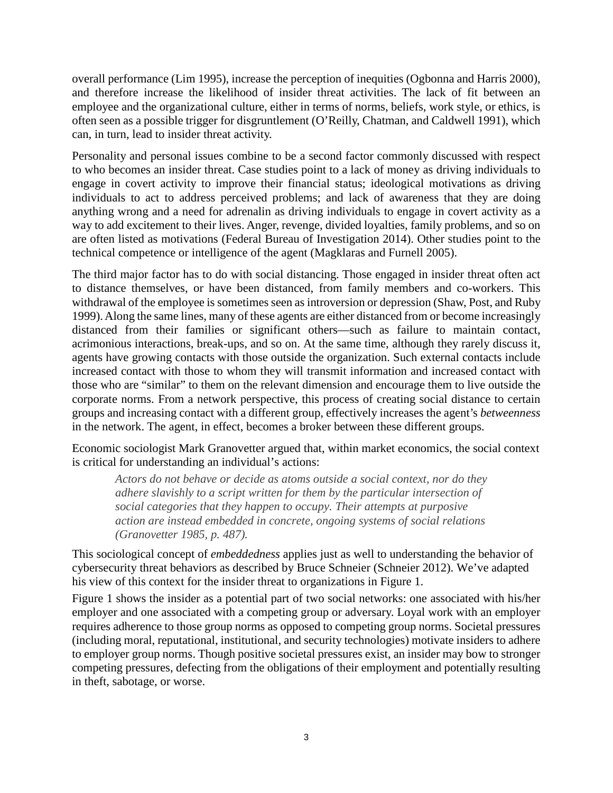overall performance (Lim 1995), increase the perception of inequities (Ogbonna and Harris 2000), and therefore increase the likelihood of insider threat activities. The lack of fit between an employee and the organizational culture, either in terms of norms, beliefs, work style, or ethics, is often seen as a possible trigger for disgruntlement (O'Reilly, Chatman, and Caldwell 1991), which can, in turn, lead to insider threat activity.

Personality and personal issues combine to be a second factor commonly discussed with respect to who becomes an insider threat. Case studies point to a lack of money as driving individuals to engage in covert activity to improve their financial status; ideological motivations as driving individuals to act to address perceived problems; and lack of awareness that they are doing anything wrong and a need for adrenalin as driving individuals to engage in covert activity as a way to add excitement to their lives. Anger, revenge, divided loyalties, family problems, and so on are often listed as motivations (Federal Bureau of Investigation 2014). Other studies point to the technical competence or intelligence of the agent (Magklaras and Furnell 2005).

The third major factor has to do with social distancing. Those engaged in insider threat often act to distance themselves, or have been distanced, from family members and co-workers. This withdrawal of the employee is sometimes seen as introversion or depression (Shaw, Post, and Ruby 1999). Along the same lines, many of these agents are either distanced from or become increasingly distanced from their families or significant others—such as failure to maintain contact, acrimonious interactions, break-ups, and so on. At the same time, although they rarely discuss it, agents have growing contacts with those outside the organization. Such external contacts include increased contact with those to whom they will transmit information and increased contact with those who are "similar" to them on the relevant dimension and encourage them to live outside the corporate norms. From a network perspective, this process of creating social distance to certain groups and increasing contact with a different group, effectively increases the agent's *betweenness* in the network. The agent, in effect, becomes a broker between these different groups.

Economic sociologist Mark Granovetter argued that, within market economics, the social context is critical for understanding an individual's actions:

*Actors do not behave or decide as atoms outside a social context, nor do they adhere slavishly to a script written for them by the particular intersection of social categories that they happen to occupy. Their attempts at purposive action are instead embedded in concrete, ongoing systems of social relations (Granovetter 1985, p. 487).*

This sociological concept of *embeddedness* applies just as well to understanding the behavior of cybersecurity threat behaviors as described by Bruce Schneier (Schneier 2012). We've adapted his view of this context for the insider threat to organizations in Figure 1.

Figure 1 shows the insider as a potential part of two social networks: one associated with his/her employer and one associated with a competing group or adversary. Loyal work with an employer requires adherence to those group norms as opposed to competing group norms. Societal pressures (including moral, reputational, institutional, and security technologies) motivate insiders to adhere to employer group norms. Though positive societal pressures exist, an insider may bow to stronger competing pressures, defecting from the obligations of their employment and potentially resulting in theft, sabotage, or worse.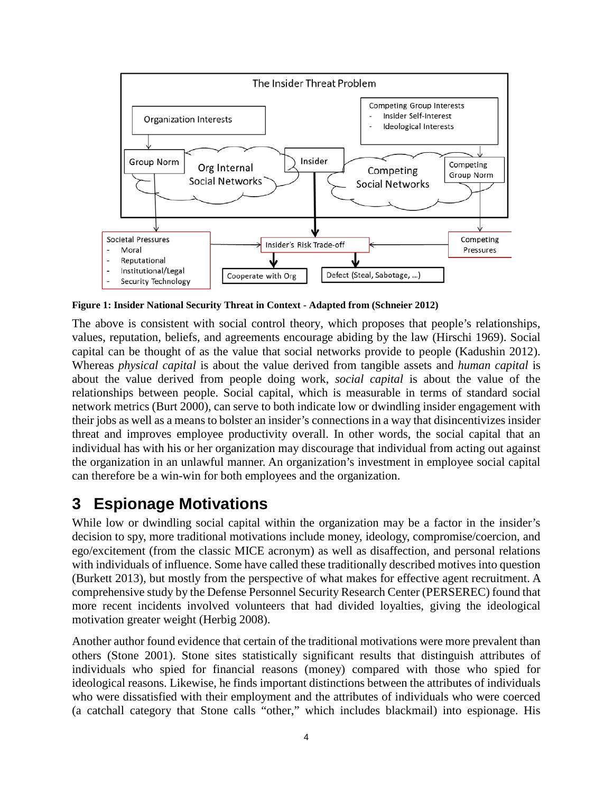

**Figure 1: Insider National Security Threat in Context - Adapted from (Schneier 2012)**

The above is consistent with social control theory, which proposes that people's relationships, values, reputation, beliefs, and agreements encourage abiding by the law (Hirschi 1969). Social capital can be thought of as the value that social networks provide to people (Kadushin 2012). Whereas *physical capital* is about the value derived from tangible assets and *human capital* is about the value derived from people doing work, *social capital* is about the value of the relationships between people. Social capital, which is measurable in terms of standard social network metrics (Burt 2000), can serve to both indicate low or dwindling insider engagement with their jobs as well as a means to bolster an insider's connections in a way that disincentivizes insider threat and improves employee productivity overall. In other words, the social capital that an individual has with his or her organization may discourage that individual from acting out against the organization in an unlawful manner. An organization's investment in employee social capital can therefore be a win-win for both employees and the organization.

## **3 Espionage Motivations**

While low or dwindling social capital within the organization may be a factor in the insider's decision to spy, more traditional motivations include money, ideology, compromise/coercion, and ego/excitement (from the classic MICE acronym) as well as disaffection, and personal relations with individuals of influence. Some have called these traditionally described motives into question (Burkett 2013), but mostly from the perspective of what makes for effective agent recruitment. A comprehensive study by the Defense Personnel Security Research Center (PERSEREC) found that more recent incidents involved volunteers that had divided loyalties, giving the ideological motivation greater weight (Herbig 2008).

Another author found evidence that certain of the traditional motivations were more prevalent than others (Stone 2001). Stone sites statistically significant results that distinguish attributes of individuals who spied for financial reasons (money) compared with those who spied for ideological reasons. Likewise, he finds important distinctions between the attributes of individuals who were dissatisfied with their employment and the attributes of individuals who were coerced (a catchall category that Stone calls "other," which includes blackmail) into espionage. His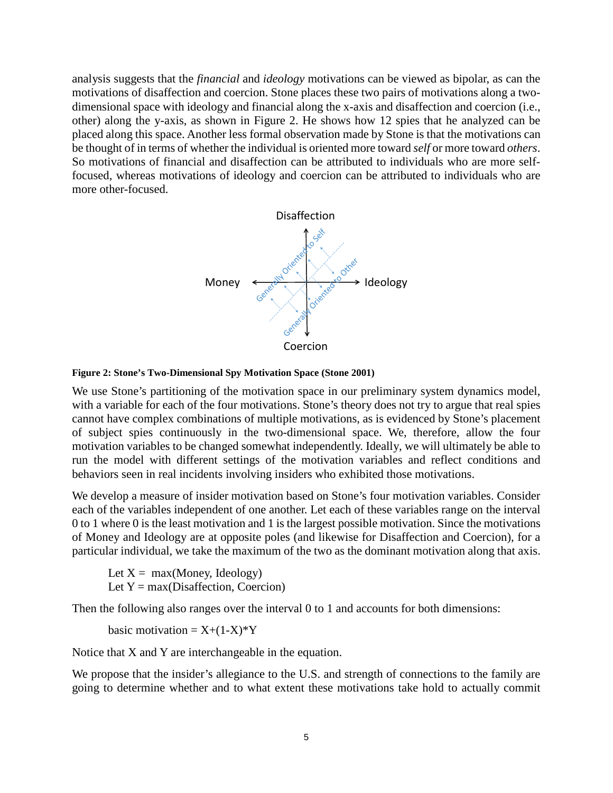analysis suggests that the *financial* and *ideology* motivations can be viewed as bipolar, as can the motivations of disaffection and coercion. Stone places these two pairs of motivations along a twodimensional space with ideology and financial along the x-axis and disaffection and coercion (i.e., other) along the y-axis, as shown in Figure 2. He shows how 12 spies that he analyzed can be placed along this space. Another less formal observation made by Stone is that the motivations can be thought of in terms of whether the individual is oriented more toward *self* or more toward *others*. So motivations of financial and disaffection can be attributed to individuals who are more selffocused, whereas motivations of ideology and coercion can be attributed to individuals who are more other-focused.



#### **Figure 2: Stone's Two-Dimensional Spy Motivation Space (Stone 2001)**

We use Stone's partitioning of the motivation space in our preliminary system dynamics model, with a variable for each of the four motivations. Stone's theory does not try to argue that real spies cannot have complex combinations of multiple motivations, as is evidenced by Stone's placement of subject spies continuously in the two-dimensional space. We, therefore, allow the four motivation variables to be changed somewhat independently. Ideally, we will ultimately be able to run the model with different settings of the motivation variables and reflect conditions and behaviors seen in real incidents involving insiders who exhibited those motivations.

We develop a measure of insider motivation based on Stone's four motivation variables. Consider each of the variables independent of one another. Let each of these variables range on the interval 0 to 1 where 0 is the least motivation and 1 is the largest possible motivation. Since the motivations of Money and Ideology are at opposite poles (and likewise for Disaffection and Coercion), for a particular individual, we take the maximum of the two as the dominant motivation along that axis.

Let  $X = max(Money, Ideology)$ Let  $Y = max(Disaffection, Coercion)$ 

Then the following also ranges over the interval 0 to 1 and accounts for both dimensions:

basic motivation =  $X+(1-X)^*Y$ 

Notice that X and Y are interchangeable in the equation.

We propose that the insider's allegiance to the U.S. and strength of connections to the family are going to determine whether and to what extent these motivations take hold to actually commit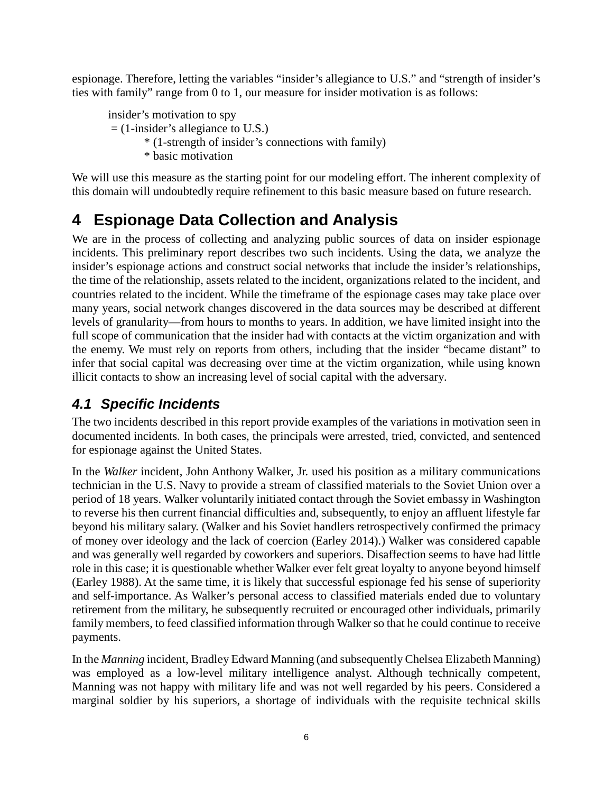espionage. Therefore, letting the variables "insider's allegiance to U.S." and "strength of insider's ties with family" range from 0 to 1, our measure for insider motivation is as follows:

insider's motivation to spy = (1-insider's allegiance to U.S.) \* (1-strength of insider's connections with family) \* basic motivation

We will use this measure as the starting point for our modeling effort. The inherent complexity of this domain will undoubtedly require refinement to this basic measure based on future research.

# **4 Espionage Data Collection and Analysis**

We are in the process of collecting and analyzing public sources of data on insider espionage incidents. This preliminary report describes two such incidents. Using the data, we analyze the insider's espionage actions and construct social networks that include the insider's relationships, the time of the relationship, assets related to the incident, organizations related to the incident, and countries related to the incident. While the timeframe of the espionage cases may take place over many years, social network changes discovered in the data sources may be described at different levels of granularity—from hours to months to years. In addition, we have limited insight into the full scope of communication that the insider had with contacts at the victim organization and with the enemy. We must rely on reports from others, including that the insider "became distant" to infer that social capital was decreasing over time at the victim organization, while using known illicit contacts to show an increasing level of social capital with the adversary.

### *4.1 Specific Incidents*

The two incidents described in this report provide examples of the variations in motivation seen in documented incidents. In both cases, the principals were arrested, tried, convicted, and sentenced for espionage against the United States.

In the *Walker* incident, John Anthony Walker, Jr. used his position as a military communications technician in the U.S. Navy to provide a stream of classified materials to the Soviet Union over a period of 18 years. Walker voluntarily initiated contact through the Soviet embassy in Washington to reverse his then current financial difficulties and, subsequently, to enjoy an affluent lifestyle far beyond his military salary. (Walker and his Soviet handlers retrospectively confirmed the primacy of money over ideology and the lack of coercion (Earley 2014).) Walker was considered capable and was generally well regarded by coworkers and superiors. Disaffection seems to have had little role in this case; it is questionable whether Walker ever felt great loyalty to anyone beyond himself (Earley 1988). At the same time, it is likely that successful espionage fed his sense of superiority and self-importance. As Walker's personal access to classified materials ended due to voluntary retirement from the military, he subsequently recruited or encouraged other individuals, primarily family members, to feed classified information through Walker so that he could continue to receive payments.

In the *Manning* incident, Bradley Edward Manning (and subsequently Chelsea Elizabeth Manning) was employed as a low-level military intelligence analyst. Although technically competent, Manning was not happy with military life and was not well regarded by his peers. Considered a marginal soldier by his superiors, a shortage of individuals with the requisite technical skills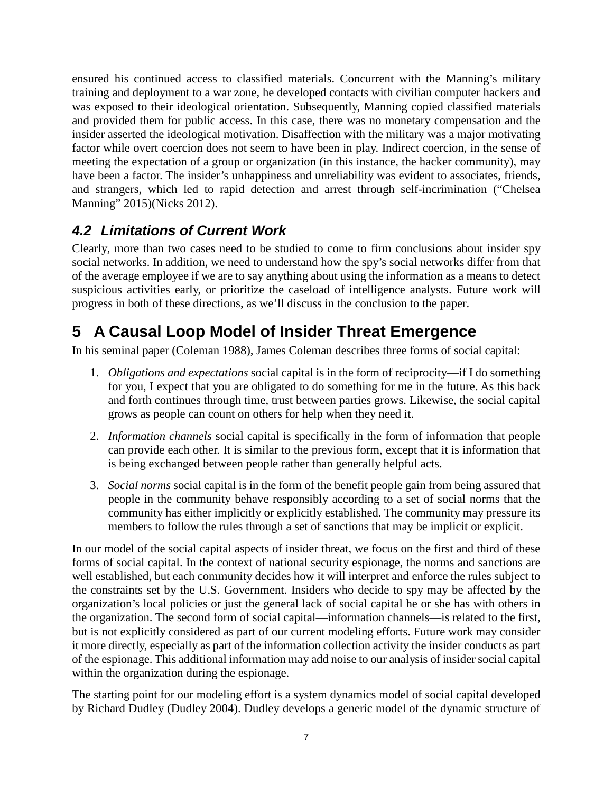ensured his continued access to classified materials. Concurrent with the Manning's military training and deployment to a war zone, he developed contacts with civilian computer hackers and was exposed to their ideological orientation. Subsequently, Manning copied classified materials and provided them for public access. In this case, there was no monetary compensation and the insider asserted the ideological motivation. Disaffection with the military was a major motivating factor while overt coercion does not seem to have been in play. Indirect coercion, in the sense of meeting the expectation of a group or organization (in this instance, the hacker community), may have been a factor. The insider's unhappiness and unreliability was evident to associates, friends, and strangers, which led to rapid detection and arrest through self-incrimination ("Chelsea Manning" 2015)(Nicks 2012).

### *4.2 Limitations of Current Work*

Clearly, more than two cases need to be studied to come to firm conclusions about insider spy social networks. In addition, we need to understand how the spy's social networks differ from that of the average employee if we are to say anything about using the information as a means to detect suspicious activities early, or prioritize the caseload of intelligence analysts. Future work will progress in both of these directions, as we'll discuss in the conclusion to the paper.

# **5 A Causal Loop Model of Insider Threat Emergence**

In his seminal paper (Coleman 1988), James Coleman describes three forms of social capital:

- 1. *Obligations and expectations* social capital is in the form of reciprocity—if I do something for you, I expect that you are obligated to do something for me in the future. As this back and forth continues through time, trust between parties grows. Likewise, the social capital grows as people can count on others for help when they need it.
- 2. *Information channels* social capital is specifically in the form of information that people can provide each other. It is similar to the previous form, except that it is information that is being exchanged between people rather than generally helpful acts.
- 3. *Social norms* social capital is in the form of the benefit people gain from being assured that people in the community behave responsibly according to a set of social norms that the community has either implicitly or explicitly established. The community may pressure its members to follow the rules through a set of sanctions that may be implicit or explicit.

In our model of the social capital aspects of insider threat, we focus on the first and third of these forms of social capital. In the context of national security espionage, the norms and sanctions are well established, but each community decides how it will interpret and enforce the rules subject to the constraints set by the U.S. Government. Insiders who decide to spy may be affected by the organization's local policies or just the general lack of social capital he or she has with others in the organization. The second form of social capital—information channels—is related to the first, but is not explicitly considered as part of our current modeling efforts. Future work may consider it more directly, especially as part of the information collection activity the insider conducts as part of the espionage. This additional information may add noise to our analysis of insider social capital within the organization during the espionage.

The starting point for our modeling effort is a system dynamics model of social capital developed by Richard Dudley (Dudley 2004). Dudley develops a generic model of the dynamic structure of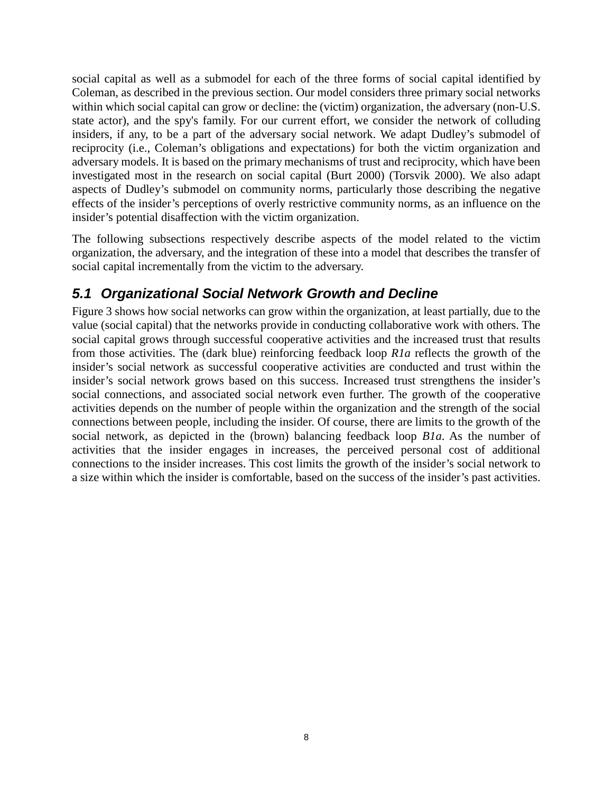social capital as well as a submodel for each of the three forms of social capital identified by Coleman, as described in the previous section. Our model considers three primary social networks within which social capital can grow or decline: the (victim) organization, the adversary (non-U.S. state actor), and the spy's family. For our current effort, we consider the network of colluding insiders, if any, to be a part of the adversary social network. We adapt Dudley's submodel of reciprocity (i.e., Coleman's obligations and expectations) for both the victim organization and adversary models. It is based on the primary mechanisms of trust and reciprocity, which have been investigated most in the research on social capital (Burt 2000) (Torsvik 2000). We also adapt aspects of Dudley's submodel on community norms, particularly those describing the negative effects of the insider's perceptions of overly restrictive community norms, as an influence on the insider's potential disaffection with the victim organization.

The following subsections respectively describe aspects of the model related to the victim organization, the adversary, and the integration of these into a model that describes the transfer of social capital incrementally from the victim to the adversary.

#### *5.1 Organizational Social Network Growth and Decline*

Figure 3 shows how social networks can grow within the organization, at least partially, due to the value (social capital) that the networks provide in conducting collaborative work with others. The social capital grows through successful cooperative activities and the increased trust that results from those activities. The (dark blue) reinforcing feedback loop *R1a* reflects the growth of the insider's social network as successful cooperative activities are conducted and trust within the insider's social network grows based on this success. Increased trust strengthens the insider's social connections, and associated social network even further. The growth of the cooperative activities depends on the number of people within the organization and the strength of the social connections between people, including the insider. Of course, there are limits to the growth of the social network, as depicted in the (brown) balancing feedback loop *B1a*. As the number of activities that the insider engages in increases, the perceived personal cost of additional connections to the insider increases. This cost limits the growth of the insider's social network to a size within which the insider is comfortable, based on the success of the insider's past activities.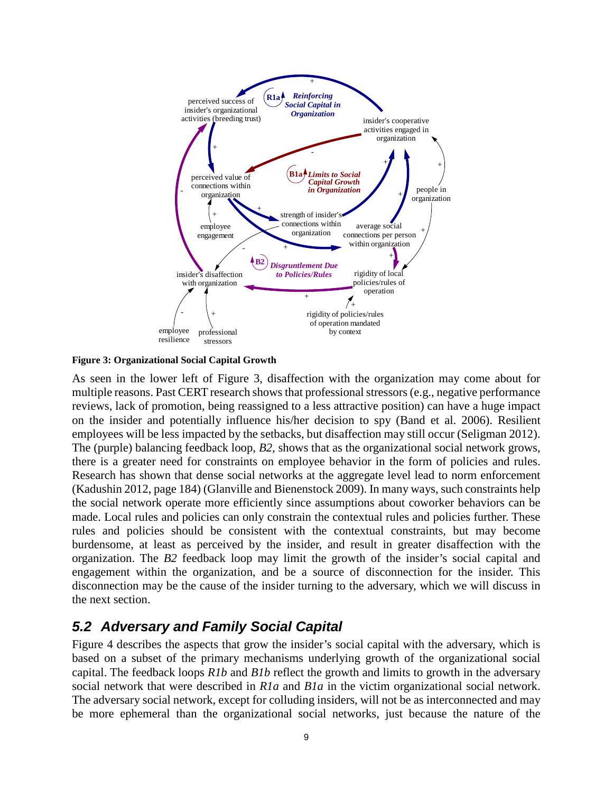

<span id="page-8-0"></span>**Figure 3: Organizational Social Capital Growth**

As seen in the lower left of [Figure 3,](#page-8-0) disaffection with the organization may come about for multiple reasons. Past CERT research shows that professional stressors (e.g., negative performance reviews, lack of promotion, being reassigned to a less attractive position) can have a huge impact on the insider and potentially influence his/her decision to spy (Band et al. 2006). Resilient employees will be less impacted by the setbacks, but disaffection may still occur (Seligman 2012). The (purple) balancing feedback loop, *B2,* shows that as the organizational social network grows, there is a greater need for constraints on employee behavior in the form of policies and rules. Research has shown that dense social networks at the aggregate level lead to norm enforcement (Kadushin 2012, page 184) (Glanville and Bienenstock 2009). In many ways, such constraints help the social network operate more efficiently since assumptions about coworker behaviors can be made. Local rules and policies can only constrain the contextual rules and policies further. These rules and policies should be consistent with the contextual constraints, but may become burdensome, at least as perceived by the insider, and result in greater disaffection with the organization. The *B2* feedback loop may limit the growth of the insider's social capital and engagement within the organization, and be a source of disconnection for the insider. This disconnection may be the cause of the insider turning to the adversary, which we will discuss in the next section.

#### *5.2 Adversary and Family Social Capital*

Figure 4 describes the aspects that grow the insider's social capital with the adversary, which is based on a subset of the primary mechanisms underlying growth of the organizational social capital. The feedback loops *R1b* and *B1b* reflect the growth and limits to growth in the adversary social network that were described in *R1a* and *B1a* in the victim organizational social network. The adversary social network, except for colluding insiders, will not be as interconnected and may be more ephemeral than the organizational social networks, just because the nature of the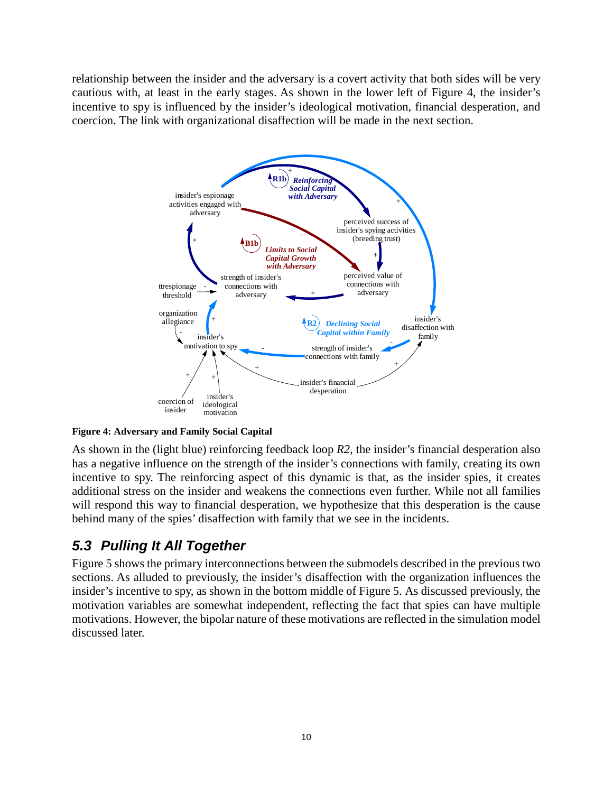relationship between the insider and the adversary is a covert activity that both sides will be very cautious with, at least in the early stages. As shown in the lower left of [Figure 4,](#page-9-0) the insider's incentive to spy is influenced by the insider's ideological motivation, financial desperation, and coercion. The link with organizational disaffection will be made in the next section.



<span id="page-9-0"></span>**Figure 4: Adversary and Family Social Capital**

As shown in the (light blue) reinforcing feedback loop *R2*, the insider's financial desperation also has a negative influence on the strength of the insider's connections with family, creating its own incentive to spy. The reinforcing aspect of this dynamic is that, as the insider spies, it creates additional stress on the insider and weakens the connections even further. While not all families will respond this way to financial desperation, we hypothesize that this desperation is the cause behind many of the spies' disaffection with family that we see in the incidents.

#### *5.3 Pulling It All Together*

Figure 5 shows the primary interconnections between the submodels described in the previous two sections. As alluded to previously, the insider's disaffection with the organization influences the insider's incentive to spy, as shown in the bottom middle of [Figure 5.](#page-10-0) As discussed previously, the motivation variables are somewhat independent, reflecting the fact that spies can have multiple motivations. However, the bipolar nature of these motivations are reflected in the simulation model discussed later.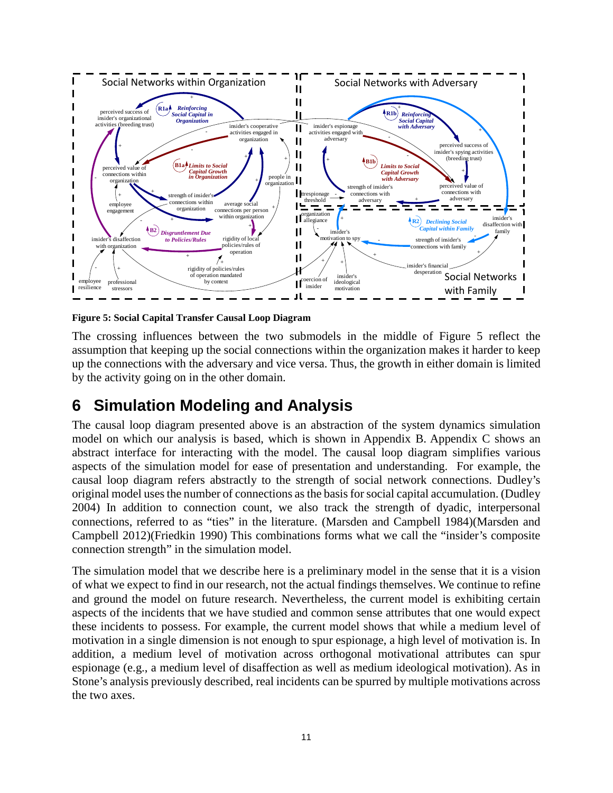

<span id="page-10-0"></span>**Figure 5: Social Capital Transfer Causal Loop Diagram**

The crossing influences between the two submodels in the middle of [Figure 5](#page-10-0) reflect the assumption that keeping up the social connections within the organization makes it harder to keep up the connections with the adversary and vice versa. Thus, the growth in either domain is limited by the activity going on in the other domain.

## **6 Simulation Modeling and Analysis**

The causal loop diagram presented above is an abstraction of the system dynamics simulation model on which our analysis is based, which is shown in Appendix B. Appendix C shows an abstract interface for interacting with the model. The causal loop diagram simplifies various aspects of the simulation model for ease of presentation and understanding. For example, the causal loop diagram refers abstractly to the strength of social network connections. Dudley's original model uses the number of connections as the basis for social capital accumulation. (Dudley 2004) In addition to connection count, we also track the strength of dyadic, interpersonal connections, referred to as "ties" in the literature. (Marsden and Campbell 1984)(Marsden and Campbell 2012)(Friedkin 1990) This combinations forms what we call the "insider's composite connection strength" in the simulation model.

The simulation model that we describe here is a preliminary model in the sense that it is a vision of what we expect to find in our research, not the actual findings themselves. We continue to refine and ground the model on future research. Nevertheless, the current model is exhibiting certain aspects of the incidents that we have studied and common sense attributes that one would expect these incidents to possess. For example, the current model shows that while a medium level of motivation in a single dimension is not enough to spur espionage, a high level of motivation is. In addition, a medium level of motivation across orthogonal motivational attributes can spur espionage (e.g., a medium level of disaffection as well as medium ideological motivation). As in Stone's analysis previously described, real incidents can be spurred by multiple motivations across the two axes.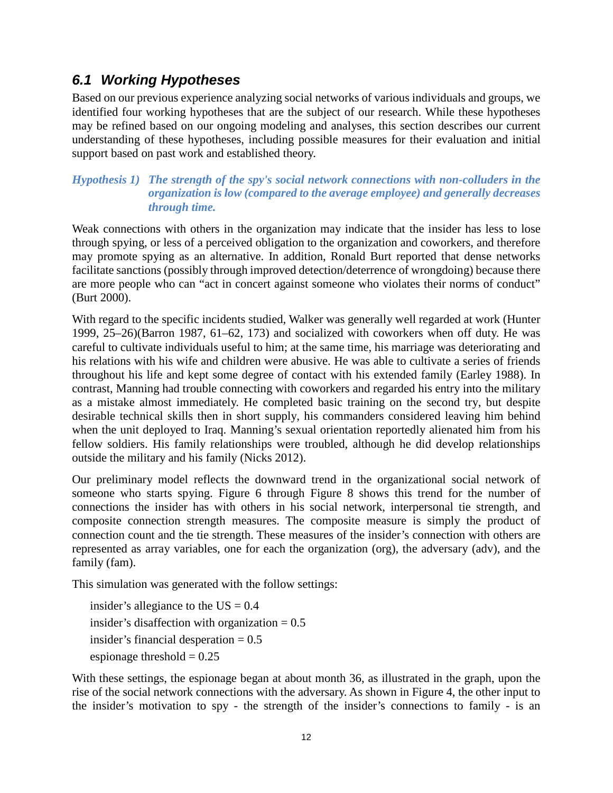#### *6.1 Working Hypotheses*

Based on our previous experience analyzing social networks of various individuals and groups, we identified four working hypotheses that are the subject of our research. While these hypotheses may be refined based on our ongoing modeling and analyses, this section describes our current understanding of these hypotheses, including possible measures for their evaluation and initial support based on past work and established theory.

*Hypothesis 1) The strength of the spy's social network connections with non-colluders in the organization is low (compared to the average employee) and generally decreases through time.*

Weak connections with others in the organization may indicate that the insider has less to lose through spying, or less of a perceived obligation to the organization and coworkers, and therefore may promote spying as an alternative. In addition, Ronald Burt reported that dense networks facilitate sanctions (possibly through improved detection/deterrence of wrongdoing) because there are more people who can "act in concert against someone who violates their norms of conduct" (Burt 2000).

With regard to the specific incidents studied, Walker was generally well regarded at work (Hunter 1999, 25–26)(Barron 1987, 61–62, 173) and socialized with coworkers when off duty. He was careful to cultivate individuals useful to him; at the same time, his marriage was deteriorating and his relations with his wife and children were abusive. He was able to cultivate a series of friends throughout his life and kept some degree of contact with his extended family (Earley 1988). In contrast, Manning had trouble connecting with coworkers and regarded his entry into the military as a mistake almost immediately. He completed basic training on the second try, but despite desirable technical skills then in short supply, his commanders considered leaving him behind when the unit deployed to Iraq. Manning's sexual orientation reportedly alienated him from his fellow soldiers. His family relationships were troubled, although he did develop relationships outside the military and his family (Nicks 2012).

Our preliminary model reflects the downward trend in the organizational social network of someone who starts spying. Figure 6 through Figure 8 shows this trend for the number of connections the insider has with others in his social network, interpersonal tie strength, and composite connection strength measures. The composite measure is simply the product of connection count and the tie strength. These measures of the insider's connection with others are represented as array variables, one for each the organization (org), the adversary (adv), and the family (fam).

This simulation was generated with the follow settings:

insider's allegiance to the  $US = 0.4$ insider's disaffection with organization  $= 0.5$ insider's financial desperation  $= 0.5$ espionage threshold  $= 0.25$ 

With these settings, the espionage began at about month 36, as illustrated in the graph, upon the rise of the social network connections with the adversary. As shown in Figure 4, the other input to the insider's motivation to spy - the strength of the insider's connections to family - is an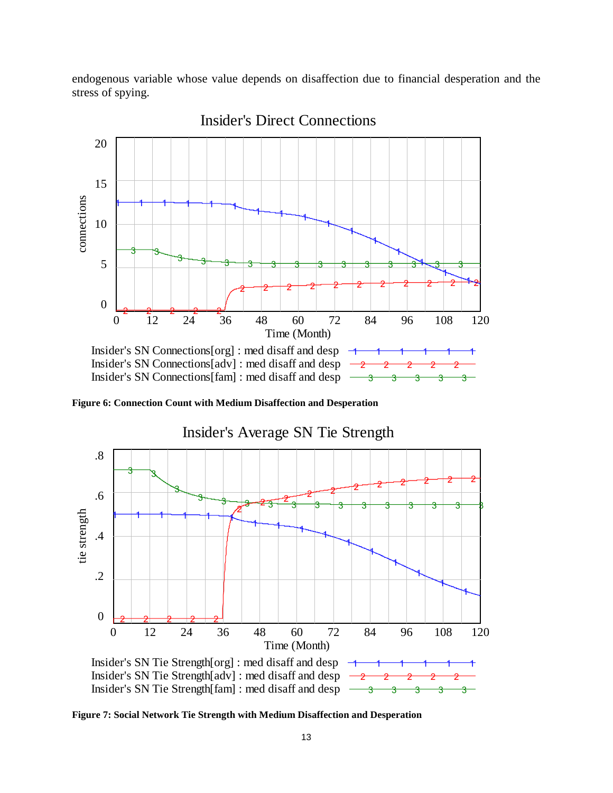endogenous variable whose value depends on disaffection due to financial desperation and the stress of spying.



Insider's Direct Connections

**Figure 6: Connection Count with Medium Disaffection and Desperation**



**Figure 7: Social Network Tie Strength with Medium Disaffection and Desperation**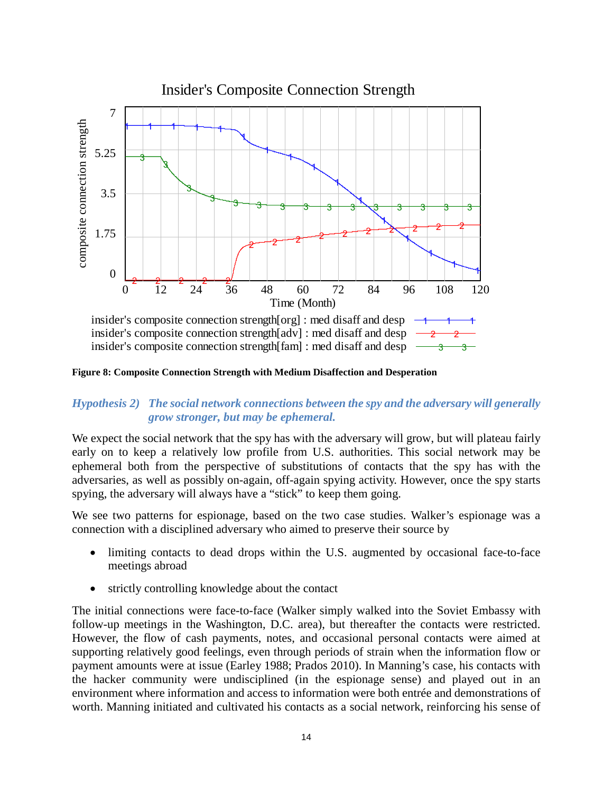

**Figure 8: Composite Connection Strength with Medium Disaffection and Desperation**

#### *Hypothesis 2) The social network connections between the spy and the adversary will generally grow stronger, but may be ephemeral.*

We expect the social network that the spy has with the adversary will grow, but will plateau fairly early on to keep a relatively low profile from U.S. authorities. This social network may be ephemeral both from the perspective of substitutions of contacts that the spy has with the adversaries, as well as possibly on-again, off-again spying activity. However, once the spy starts spying, the adversary will always have a "stick" to keep them going.

We see two patterns for espionage, based on the two case studies. Walker's espionage was a connection with a disciplined adversary who aimed to preserve their source by

- limiting contacts to dead drops within the U.S. augmented by occasional face-to-face meetings abroad
- strictly controlling knowledge about the contact

The initial connections were face-to-face (Walker simply walked into the Soviet Embassy with follow-up meetings in the Washington, D.C. area), but thereafter the contacts were restricted. However, the flow of cash payments, notes, and occasional personal contacts were aimed at supporting relatively good feelings, even through periods of strain when the information flow or payment amounts were at issue (Earley 1988; Prados 2010). In Manning's case, his contacts with the hacker community were undisciplined (in the espionage sense) and played out in an environment where information and access to information were both entrée and demonstrations of worth. Manning initiated and cultivated his contacts as a social network, reinforcing his sense of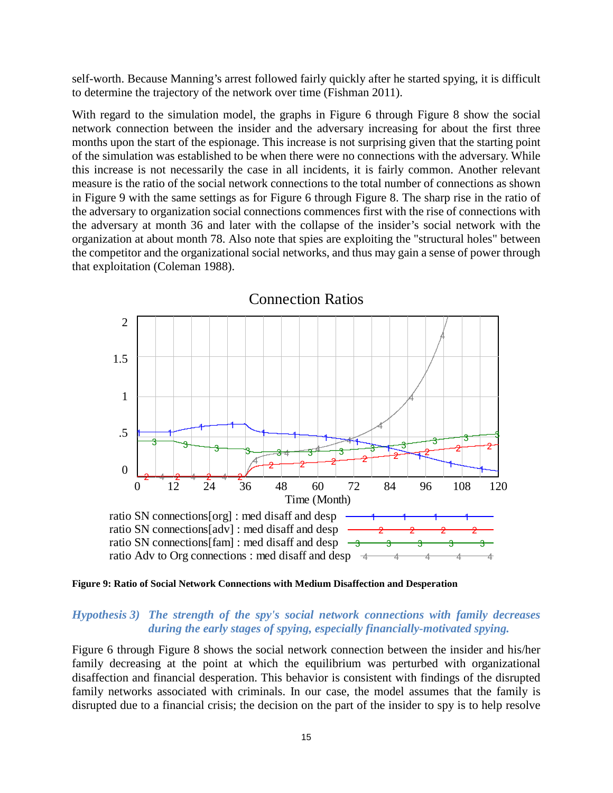self-worth. Because Manning's arrest followed fairly quickly after he started spying, it is difficult to determine the trajectory of the network over time (Fishman 2011).

With regard to the simulation model, the graphs in Figure 6 through Figure 8 show the social network connection between the insider and the adversary increasing for about the first three months upon the start of the espionage. This increase is not surprising given that the starting point of the simulation was established to be when there were no connections with the adversary. While this increase is not necessarily the case in all incidents, it is fairly common. Another relevant measure is the ratio of the social network connections to the total number of connections as shown in Figure 9 with the same settings as for Figure 6 through Figure 8. The sharp rise in the ratio of the adversary to organization social connections commences first with the rise of connections with the adversary at month 36 and later with the collapse of the insider's social network with the organization at about month 78. Also note that spies are exploiting the "structural holes" between the competitor and the organizational social networks, and thus may gain a sense of power through that exploitation (Coleman 1988).



**Figure 9: Ratio of Social Network Connections with Medium Disaffection and Desperation**

#### *Hypothesis 3) The strength of the spy's social network connections with family decreases during the early stages of spying, especially financially-motivated spying.*

Figure 6 through Figure 8 shows the social network connection between the insider and his/her family decreasing at the point at which the equilibrium was perturbed with organizational disaffection and financial desperation. This behavior is consistent with findings of the disrupted family networks associated with criminals. In our case, the model assumes that the family is disrupted due to a financial crisis; the decision on the part of the insider to spy is to help resolve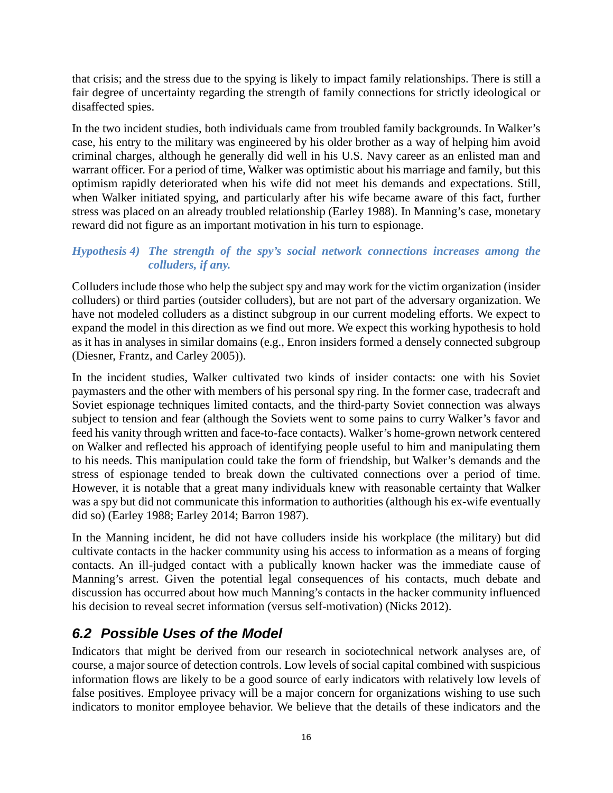that crisis; and the stress due to the spying is likely to impact family relationships. There is still a fair degree of uncertainty regarding the strength of family connections for strictly ideological or disaffected spies.

In the two incident studies, both individuals came from troubled family backgrounds. In Walker's case, his entry to the military was engineered by his older brother as a way of helping him avoid criminal charges, although he generally did well in his U.S. Navy career as an enlisted man and warrant officer. For a period of time, Walker was optimistic about his marriage and family, but this optimism rapidly deteriorated when his wife did not meet his demands and expectations. Still, when Walker initiated spying, and particularly after his wife became aware of this fact, further stress was placed on an already troubled relationship (Earley 1988). In Manning's case, monetary reward did not figure as an important motivation in his turn to espionage.

#### *Hypothesis 4) The strength of the spy's social network connections increases among the colluders, if any.*

Colluders include those who help the subject spy and may work for the victim organization (insider colluders) or third parties (outsider colluders), but are not part of the adversary organization. We have not modeled colluders as a distinct subgroup in our current modeling efforts. We expect to expand the model in this direction as we find out more. We expect this working hypothesis to hold as it has in analyses in similar domains (e.g., Enron insiders formed a densely connected subgroup (Diesner, Frantz, and Carley 2005)).

In the incident studies, Walker cultivated two kinds of insider contacts: one with his Soviet paymasters and the other with members of his personal spy ring. In the former case, tradecraft and Soviet espionage techniques limited contacts, and the third-party Soviet connection was always subject to tension and fear (although the Soviets went to some pains to curry Walker's favor and feed his vanity through written and face-to-face contacts). Walker's home-grown network centered on Walker and reflected his approach of identifying people useful to him and manipulating them to his needs. This manipulation could take the form of friendship, but Walker's demands and the stress of espionage tended to break down the cultivated connections over a period of time. However, it is notable that a great many individuals knew with reasonable certainty that Walker was a spy but did not communicate this information to authorities (although his ex-wife eventually did so) (Earley 1988; Earley 2014; Barron 1987).

In the Manning incident, he did not have colluders inside his workplace (the military) but did cultivate contacts in the hacker community using his access to information as a means of forging contacts. An ill-judged contact with a publically known hacker was the immediate cause of Manning's arrest. Given the potential legal consequences of his contacts, much debate and discussion has occurred about how much Manning's contacts in the hacker community influenced his decision to reveal secret information (versus self-motivation) (Nicks 2012).

#### *6.2 Possible Uses of the Model*

Indicators that might be derived from our research in sociotechnical network analyses are, of course, a major source of detection controls. Low levels of social capital combined with suspicious information flows are likely to be a good source of early indicators with relatively low levels of false positives. Employee privacy will be a major concern for organizations wishing to use such indicators to monitor employee behavior. We believe that the details of these indicators and the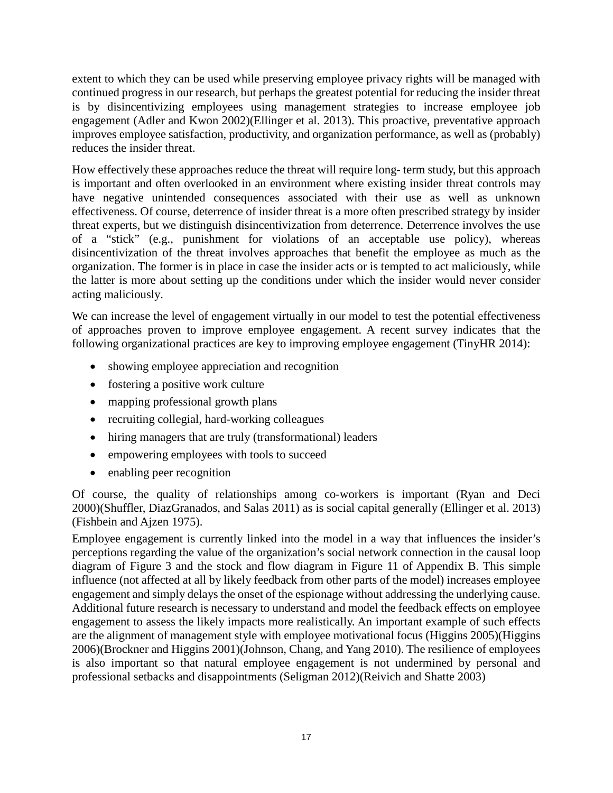extent to which they can be used while preserving employee privacy rights will be managed with continued progress in our research, but perhaps the greatest potential for reducing the insider threat is by disincentivizing employees using management strategies to increase employee job engagement (Adler and Kwon 2002)(Ellinger et al. 2013). This proactive, preventative approach improves employee satisfaction, productivity, and organization performance, as well as (probably) reduces the insider threat.

How effectively these approaches reduce the threat will require long- term study, but this approach is important and often overlooked in an environment where existing insider threat controls may have negative unintended consequences associated with their use as well as unknown effectiveness. Of course, deterrence of insider threat is a more often prescribed strategy by insider threat experts, but we distinguish disincentivization from deterrence. Deterrence involves the use of a "stick" (e.g., punishment for violations of an acceptable use policy), whereas disincentivization of the threat involves approaches that benefit the employee as much as the organization. The former is in place in case the insider acts or is tempted to act maliciously, while the latter is more about setting up the conditions under which the insider would never consider acting maliciously.

We can increase the level of engagement virtually in our model to test the potential effectiveness of approaches proven to improve employee engagement. A recent survey indicates that the following organizational practices are key to improving employee engagement (TinyHR 2014):

- showing employee appreciation and recognition
- fostering a positive work culture
- mapping professional growth plans
- recruiting collegial, hard-working colleagues
- hiring managers that are truly (transformational) leaders
- empowering employees with tools to succeed
- enabling peer recognition

Of course, the quality of relationships among co-workers is important (Ryan and Deci 2000)(Shuffler, DiazGranados, and Salas 2011) as is social capital generally (Ellinger et al. 2013) (Fishbein and Ajzen 1975).

Employee engagement is currently linked into the model in a way that influences the insider's perceptions regarding the value of the organization's social network connection in the causal loop diagram of Figure 3 and the stock and flow diagram in Figure 11 of Appendix B. This simple influence (not affected at all by likely feedback from other parts of the model) increases employee engagement and simply delays the onset of the espionage without addressing the underlying cause. Additional future research is necessary to understand and model the feedback effects on employee engagement to assess the likely impacts more realistically. An important example of such effects are the alignment of management style with employee motivational focus (Higgins 2005)(Higgins 2006)(Brockner and Higgins 2001)(Johnson, Chang, and Yang 2010). The resilience of employees is also important so that natural employee engagement is not undermined by personal and professional setbacks and disappointments (Seligman 2012)(Reivich and Shatte 2003)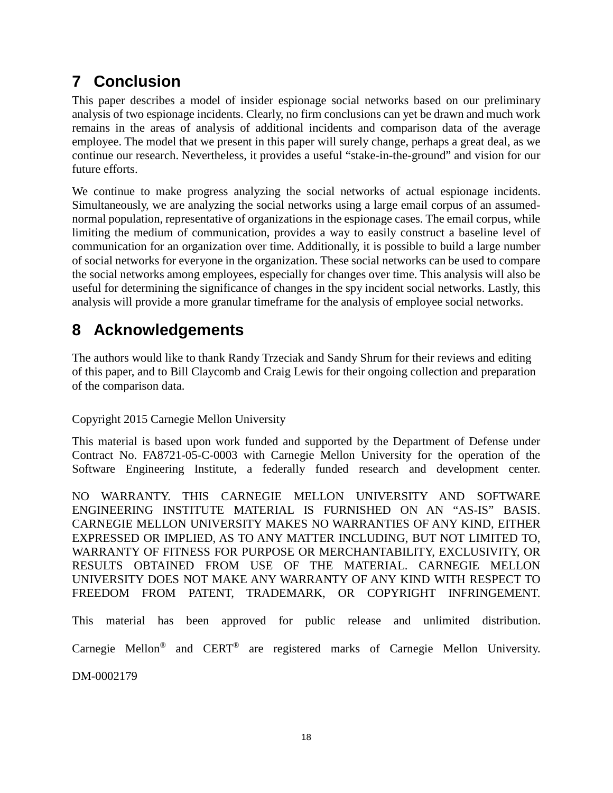# **7 Conclusion**

This paper describes a model of insider espionage social networks based on our preliminary analysis of two espionage incidents. Clearly, no firm conclusions can yet be drawn and much work remains in the areas of analysis of additional incidents and comparison data of the average employee. The model that we present in this paper will surely change, perhaps a great deal, as we continue our research. Nevertheless, it provides a useful "stake-in-the-ground" and vision for our future efforts.

We continue to make progress analyzing the social networks of actual espionage incidents. Simultaneously, we are analyzing the social networks using a large email corpus of an assumednormal population, representative of organizations in the espionage cases. The email corpus, while limiting the medium of communication, provides a way to easily construct a baseline level of communication for an organization over time. Additionally, it is possible to build a large number of social networks for everyone in the organization. These social networks can be used to compare the social networks among employees, especially for changes over time. This analysis will also be useful for determining the significance of changes in the spy incident social networks. Lastly, this analysis will provide a more granular timeframe for the analysis of employee social networks.

# **8 Acknowledgements**

The authors would like to thank Randy Trzeciak and Sandy Shrum for their reviews and editing of this paper, and to Bill Claycomb and Craig Lewis for their ongoing collection and preparation of the comparison data.

Copyright 2015 Carnegie Mellon University

This material is based upon work funded and supported by the Department of Defense under Contract No. FA8721-05-C-0003 with Carnegie Mellon University for the operation of the Software Engineering Institute, a federally funded research and development center.

NO WARRANTY. THIS CARNEGIE MELLON UNIVERSITY AND SOFTWARE ENGINEERING INSTITUTE MATERIAL IS FURNISHED ON AN "AS-IS" BASIS. CARNEGIE MELLON UNIVERSITY MAKES NO WARRANTIES OF ANY KIND, EITHER EXPRESSED OR IMPLIED, AS TO ANY MATTER INCLUDING, BUT NOT LIMITED TO, WARRANTY OF FITNESS FOR PURPOSE OR MERCHANTABILITY, EXCLUSIVITY, OR RESULTS OBTAINED FROM USE OF THE MATERIAL. CARNEGIE MELLON UNIVERSITY DOES NOT MAKE ANY WARRANTY OF ANY KIND WITH RESPECT TO FREEDOM FROM PATENT, TRADEMARK, OR COPYRIGHT INFRINGEMENT.

This material has been approved for public release and unlimited distribution.

Carnegie Mellon® and CERT® are registered marks of Carnegie Mellon University.

DM-0002179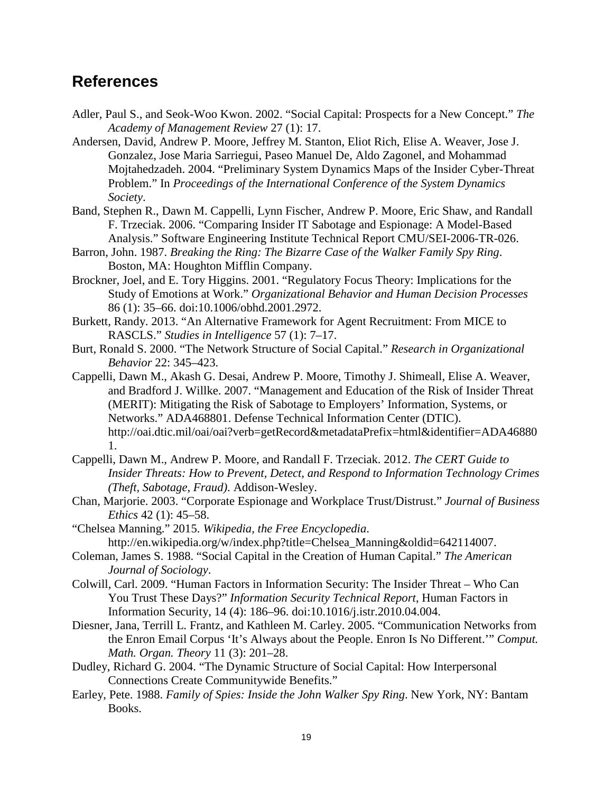#### **References**

- Adler, Paul S., and Seok-Woo Kwon. 2002. "Social Capital: Prospects for a New Concept." *The Academy of Management Review* 27 (1): 17.
- Andersen, David, Andrew P. Moore, Jeffrey M. Stanton, Eliot Rich, Elise A. Weaver, Jose J. Gonzalez, Jose Maria Sarriegui, Paseo Manuel De, Aldo Zagonel, and Mohammad Mojtahedzadeh. 2004. "Preliminary System Dynamics Maps of the Insider Cyber-Threat Problem." In *Proceedings of the International Conference of the System Dynamics Society*.
- Band, Stephen R., Dawn M. Cappelli, Lynn Fischer, Andrew P. Moore, Eric Shaw, and Randall F. Trzeciak. 2006. "Comparing Insider IT Sabotage and Espionage: A Model-Based Analysis." Software Engineering Institute Technical Report CMU/SEI-2006-TR-026.
- Barron, John. 1987. *Breaking the Ring: The Bizarre Case of the Walker Family Spy Ring*. Boston, MA: Houghton Mifflin Company.
- Brockner, Joel, and E. Tory Higgins. 2001. "Regulatory Focus Theory: Implications for the Study of Emotions at Work." *Organizational Behavior and Human Decision Processes* 86 (1): 35–66. doi:10.1006/obhd.2001.2972.
- Burkett, Randy. 2013. "An Alternative Framework for Agent Recruitment: From MICE to RASCLS." *Studies in Intelligence* 57 (1): 7–17.
- Burt, Ronald S. 2000. "The Network Structure of Social Capital." *Research in Organizational Behavior* 22: 345–423.
- Cappelli, Dawn M., Akash G. Desai, Andrew P. Moore, Timothy J. Shimeall, Elise A. Weaver, and Bradford J. Willke. 2007. "Management and Education of the Risk of Insider Threat (MERIT): Mitigating the Risk of Sabotage to Employers' Information, Systems, or Networks." ADA468801. Defense Technical Information Center (DTIC). http://oai.dtic.mil/oai/oai?verb=getRecord&metadataPrefix=html&identifier=ADA46880 1.
- Cappelli, Dawn M., Andrew P. Moore, and Randall F. Trzeciak. 2012. *The CERT Guide to Insider Threats: How to Prevent, Detect, and Respond to Information Technology Crimes (Theft, Sabotage, Fraud)*. Addison-Wesley.
- Chan, Marjorie. 2003. "Corporate Espionage and Workplace Trust/Distrust." *Journal of Business Ethics* 42 (1): 45–58.
- "Chelsea Manning." 2015. *Wikipedia, the Free Encyclopedia*. http://en.wikipedia.org/w/index.php?title=Chelsea\_Manning&oldid=642114007.
- Coleman, James S. 1988. "Social Capital in the Creation of Human Capital." *The American Journal of Sociology*.
- Colwill, Carl. 2009. "Human Factors in Information Security: The Insider Threat Who Can You Trust These Days?" *Information Security Technical Report*, Human Factors in Information Security, 14 (4): 186–96. doi:10.1016/j.istr.2010.04.004.
- Diesner, Jana, Terrill L. Frantz, and Kathleen M. Carley. 2005. "Communication Networks from the Enron Email Corpus 'It's Always about the People. Enron Is No Different.'" *Comput. Math. Organ. Theory* 11 (3): 201–28.
- Dudley, Richard G. 2004. "The Dynamic Structure of Social Capital: How Interpersonal Connections Create Communitywide Benefits."
- Earley, Pete. 1988. *Family of Spies: Inside the John Walker Spy Ring*. New York, NY: Bantam Books.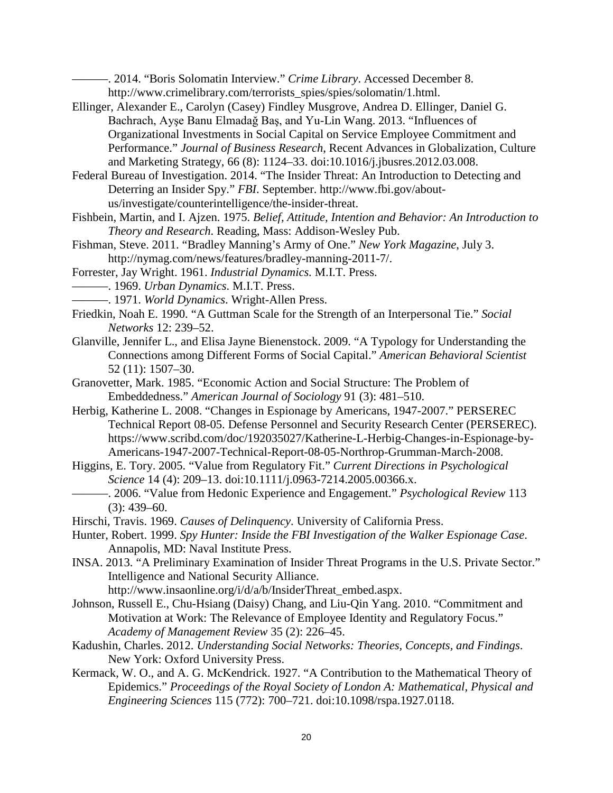———. 2014. "Boris Solomatin Interview." *Crime Library*. Accessed December 8. http://www.crimelibrary.com/terrorists\_spies/spies/solomatin/1.html.

Ellinger, Alexander E., Carolyn (Casey) Findley Musgrove, Andrea D. Ellinger, Daniel G. Bachrach, Ayşe Banu Elmadağ Baş, and Yu-Lin Wang. 2013. "Influences of Organizational Investments in Social Capital on Service Employee Commitment and Performance." *Journal of Business Research*, Recent Advances in Globalization, Culture and Marketing Strategy, 66 (8): 1124–33. doi:10.1016/j.jbusres.2012.03.008.

Federal Bureau of Investigation. 2014. "The Insider Threat: An Introduction to Detecting and Deterring an Insider Spy." *FBI*. September. http://www.fbi.gov/aboutus/investigate/counterintelligence/the-insider-threat.

Fishbein, Martin, and I. Ajzen. 1975. *Belief, Attitude, Intention and Behavior: An Introduction to Theory and Research*. Reading, Mass: Addison-Wesley Pub.

Fishman, Steve. 2011. "Bradley Manning's Army of One." *New York Magazine*, July 3. http://nymag.com/news/features/bradley-manning-2011-7/.

Forrester, Jay Wright. 1961. *Industrial Dynamics.* M.I.T. Press.

- ———. 1969. *Urban Dynamics*. M.I.T. Press.
- ———. 1971. *World Dynamics*. Wright-Allen Press.
- Friedkin, Noah E. 1990. "A Guttman Scale for the Strength of an Interpersonal Tie." *Social Networks* 12: 239–52.
- Glanville, Jennifer L., and Elisa Jayne Bienenstock. 2009. "A Typology for Understanding the Connections among Different Forms of Social Capital." *American Behavioral Scientist* 52 (11): 1507–30.
- Granovetter, Mark. 1985. "Economic Action and Social Structure: The Problem of Embeddedness." *American Journal of Sociology* 91 (3): 481–510.
- Herbig, Katherine L. 2008. "Changes in Espionage by Americans, 1947-2007." PERSEREC Technical Report 08-05. Defense Personnel and Security Research Center (PERSEREC). https://www.scribd.com/doc/192035027/Katherine-L-Herbig-Changes-in-Espionage-by-Americans-1947-2007-Technical-Report-08-05-Northrop-Grumman-March-2008.

Higgins, E. Tory. 2005. "Value from Regulatory Fit." *Current Directions in Psychological Science* 14 (4): 209–13. doi:10.1111/j.0963-7214.2005.00366.x.

- ———. 2006. "Value from Hedonic Experience and Engagement." *Psychological Review* 113  $(3)$ : 439–60.
- Hirschi, Travis. 1969. *Causes of Delinquency*. University of California Press.

Hunter, Robert. 1999. *Spy Hunter: Inside the FBI Investigation of the Walker Espionage Case*. Annapolis, MD: Naval Institute Press.

INSA. 2013. "A Preliminary Examination of Insider Threat Programs in the U.S. Private Sector." Intelligence and National Security Alliance.

http://www.insaonline.org/i/d/a/b/InsiderThreat\_embed.aspx.

- Johnson, Russell E., Chu-Hsiang (Daisy) Chang, and Liu-Qin Yang. 2010. "Commitment and Motivation at Work: The Relevance of Employee Identity and Regulatory Focus." *Academy of Management Review* 35 (2): 226–45.
- Kadushin, Charles. 2012. *Understanding Social Networks: Theories, Concepts, and Findings*. New York: Oxford University Press.
- Kermack, W. O., and A. G. McKendrick. 1927. "A Contribution to the Mathematical Theory of Epidemics." *Proceedings of the Royal Society of London A: Mathematical, Physical and Engineering Sciences* 115 (772): 700–721. doi:10.1098/rspa.1927.0118.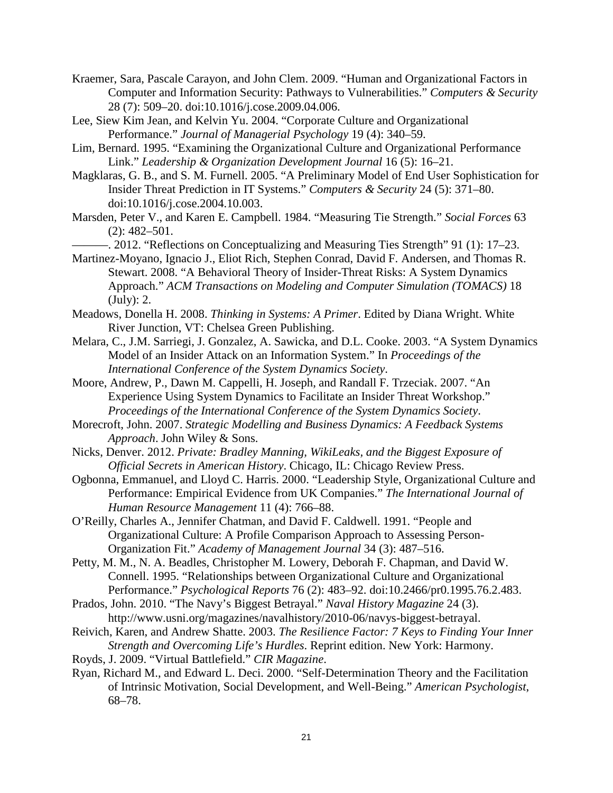Kraemer, Sara, Pascale Carayon, and John Clem. 2009. "Human and Organizational Factors in Computer and Information Security: Pathways to Vulnerabilities." *Computers & Security* 28 (7): 509–20. doi:10.1016/j.cose.2009.04.006.

- Lee, Siew Kim Jean, and Kelvin Yu. 2004. "Corporate Culture and Organizational Performance." *Journal of Managerial Psychology* 19 (4): 340–59.
- Lim, Bernard. 1995. "Examining the Organizational Culture and Organizational Performance Link." *Leadership & Organization Development Journal* 16 (5): 16–21.
- Magklaras, G. B., and S. M. Furnell. 2005. "A Preliminary Model of End User Sophistication for Insider Threat Prediction in IT Systems." *Computers & Security* 24 (5): 371–80. doi:10.1016/j.cose.2004.10.003.
- Marsden, Peter V., and Karen E. Campbell. 1984. "Measuring Tie Strength." *Social Forces* 63 (2): 482–501.
- ———. 2012. "Reflections on Conceptualizing and Measuring Ties Strength" 91 (1): 17–23.
- Martinez-Moyano, Ignacio J., Eliot Rich, Stephen Conrad, David F. Andersen, and Thomas R. Stewart. 2008. "A Behavioral Theory of Insider-Threat Risks: A System Dynamics Approach." *ACM Transactions on Modeling and Computer Simulation (TOMACS)* 18 (July): 2.
- Meadows, Donella H. 2008. *Thinking in Systems: A Primer*. Edited by Diana Wright. White River Junction, VT: Chelsea Green Publishing.
- Melara, C., J.M. Sarriegi, J. Gonzalez, A. Sawicka, and D.L. Cooke. 2003. "A System Dynamics Model of an Insider Attack on an Information System." In *Proceedings of the International Conference of the System Dynamics Society*.
- Moore, Andrew, P., Dawn M. Cappelli, H. Joseph, and Randall F. Trzeciak. 2007. "An Experience Using System Dynamics to Facilitate an Insider Threat Workshop." *Proceedings of the International Conference of the System Dynamics Society*.
- Morecroft, John. 2007. *Strategic Modelling and Business Dynamics: A Feedback Systems Approach*. John Wiley & Sons.
- Nicks, Denver. 2012. *Private: Bradley Manning, WikiLeaks, and the Biggest Exposure of Official Secrets in American History*. Chicago, IL: Chicago Review Press.
- Ogbonna, Emmanuel, and Lloyd C. Harris. 2000. "Leadership Style, Organizational Culture and Performance: Empirical Evidence from UK Companies." *The International Journal of Human Resource Management* 11 (4): 766–88.
- O'Reilly, Charles A., Jennifer Chatman, and David F. Caldwell. 1991. "People and Organizational Culture: A Profile Comparison Approach to Assessing Person-Organization Fit." *Academy of Management Journal* 34 (3): 487–516.
- Petty, M. M., N. A. Beadles, Christopher M. Lowery, Deborah F. Chapman, and David W. Connell. 1995. "Relationships between Organizational Culture and Organizational Performance." *Psychological Reports* 76 (2): 483–92. doi:10.2466/pr0.1995.76.2.483.
- Prados, John. 2010. "The Navy's Biggest Betrayal." *Naval History Magazine* 24 (3). http://www.usni.org/magazines/navalhistory/2010-06/navys-biggest-betrayal.
- Reivich, Karen, and Andrew Shatte. 2003. *The Resilience Factor: 7 Keys to Finding Your Inner Strength and Overcoming Life's Hurdles*. Reprint edition. New York: Harmony.
- Royds, J. 2009. "Virtual Battlefield." *CIR Magazine*.
- Ryan, Richard M., and Edward L. Deci. 2000. "Self-Determination Theory and the Facilitation of Intrinsic Motivation, Social Development, and Well-Being." *American Psychologist*, 68–78.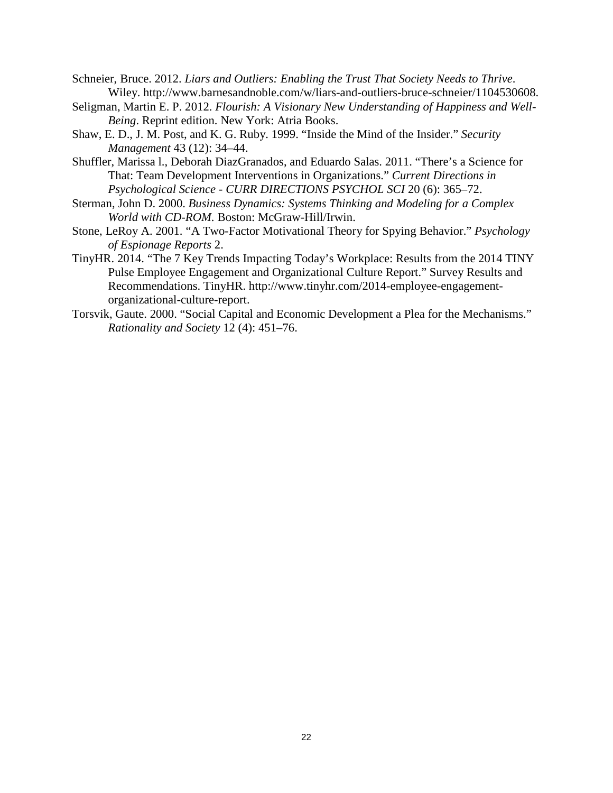- Schneier, Bruce. 2012. *Liars and Outliers: Enabling the Trust That Society Needs to Thrive*. Wiley. http://www.barnesandnoble.com/w/liars-and-outliers-bruce-schneier/1104530608.
- Seligman, Martin E. P. 2012. *Flourish: A Visionary New Understanding of Happiness and Well-Being*. Reprint edition. New York: Atria Books.
- Shaw, E. D., J. M. Post, and K. G. Ruby. 1999. "Inside the Mind of the Insider." *Security Management* 43 (12): 34–44.
- Shuffler, Marissa l., Deborah DiazGranados, and Eduardo Salas. 2011. "There's a Science for That: Team Development Interventions in Organizations." *Current Directions in Psychological Science - CURR DIRECTIONS PSYCHOL SCI* 20 (6): 365–72.
- Sterman, John D. 2000. *Business Dynamics: Systems Thinking and Modeling for a Complex World with CD-ROM*. Boston: McGraw-Hill/Irwin.
- Stone, LeRoy A. 2001. "A Two-Factor Motivational Theory for Spying Behavior." *Psychology of Espionage Reports* 2.
- TinyHR. 2014. "The 7 Key Trends Impacting Today's Workplace: Results from the 2014 TINY Pulse Employee Engagement and Organizational Culture Report." Survey Results and Recommendations. TinyHR. http://www.tinyhr.com/2014-employee-engagementorganizational-culture-report.
- Torsvik, Gaute. 2000. "Social Capital and Economic Development a Plea for the Mechanisms." *Rationality and Society* 12 (4): 451–76.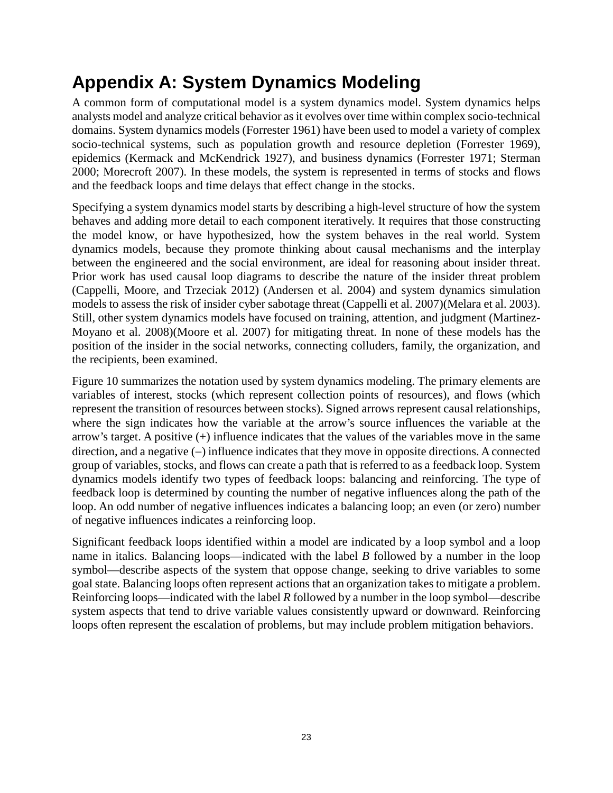# **Appendix A: System Dynamics Modeling**

A common form of computational model is a system dynamics model. System dynamics helps analysts model and analyze critical behavior as it evolves over time within complex socio-technical domains. System dynamics models (Forrester 1961) have been used to model a variety of complex socio-technical systems, such as population growth and resource depletion (Forrester 1969), epidemics (Kermack and McKendrick 1927), and business dynamics (Forrester 1971; Sterman 2000; Morecroft 2007). In these models, the system is represented in terms of stocks and flows and the feedback loops and time delays that effect change in the stocks.

Specifying a system dynamics model starts by describing a high-level structure of how the system behaves and adding more detail to each component iteratively. It requires that those constructing the model know, or have hypothesized, how the system behaves in the real world. System dynamics models, because they promote thinking about causal mechanisms and the interplay between the engineered and the social environment, are ideal for reasoning about insider threat. Prior work has used causal loop diagrams to describe the nature of the insider threat problem (Cappelli, Moore, and Trzeciak 2012) (Andersen et al. 2004) and system dynamics simulation models to assess the risk of insider cyber sabotage threat (Cappelli et al. 2007)(Melara et al. 2003). Still, other system dynamics models have focused on training, attention, and judgment (Martinez-Moyano et al. 2008)(Moore et al. 2007) for mitigating threat. In none of these models has the position of the insider in the social networks, connecting colluders, family, the organization, and the recipients, been examined.

[Figure 10](#page-23-0) summarizes the notation used by system dynamics modeling. The primary elements are variables of interest, stocks (which represent collection points of resources), and flows (which represent the transition of resources between stocks). Signed arrows represent causal relationships, where the sign indicates how the variable at the arrow's source influences the variable at the arrow's target. A positive  $(+)$  influence indicates that the values of the variables move in the same direction, and a negative (−) influence indicates that they move in opposite directions. A connected group of variables, stocks, and flows can create a path that is referred to as a feedback loop. System dynamics models identify two types of feedback loops: balancing and reinforcing. The type of feedback loop is determined by counting the number of negative influences along the path of the loop. An odd number of negative influences indicates a balancing loop; an even (or zero) number of negative influences indicates a reinforcing loop.

Significant feedback loops identified within a model are indicated by a loop symbol and a loop name in italics. Balancing loops—indicated with the label *B* followed by a number in the loop symbol—describe aspects of the system that oppose change, seeking to drive variables to some goal state. Balancing loops often represent actions that an organization takes to mitigate a problem. Reinforcing loops—indicated with the label *R* followed by a number in the loop symbol—describe system aspects that tend to drive variable values consistently upward or downward. Reinforcing loops often represent the escalation of problems, but may include problem mitigation behaviors.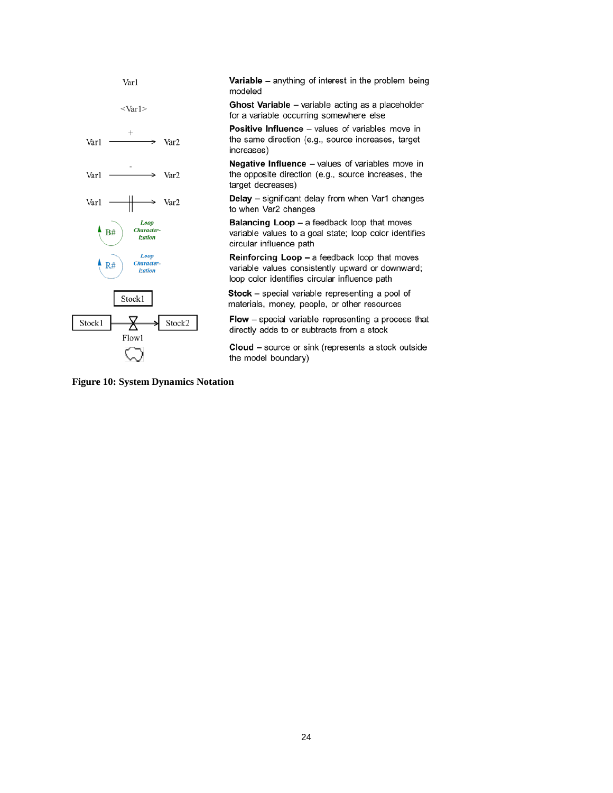

Variable - anything of interest in the problem being modeled

Ghost Variable - variable acting as a placeholder for a variable occurring somewhere else

Positive Influence - values of variables move in the same direction (e.g., source increases, target increases)

Negative Influence - values of variables move in the opposite direction (e.g., source increases, the target decreases)

Delay - significant delay from when Var1 changes to when Var2 changes

**Balancing Loop - a feedback loop that moves** variable values to a goal state; loop color identifies circular influence path

Reinforcing Loop - a feedback loop that moves variable values consistently upward or downward; loop color identifies circular influence path

Stock - special variable representing a pool of materials, money, people, or other resources

Flow - special variable representing a process that directly adds to or subtracts from a stock

Cloud - source or sink (represents a stock outside the model boundary)

<span id="page-23-0"></span>**Figure 10: System Dynamics Notation**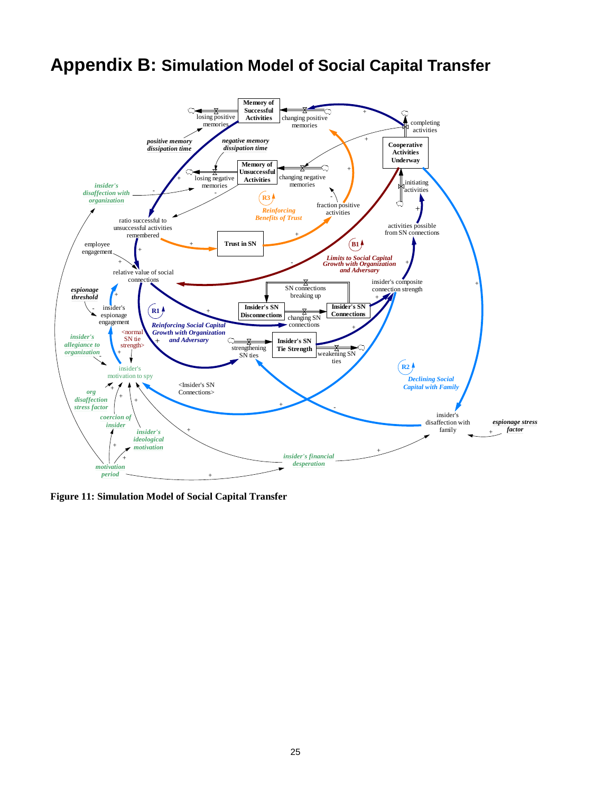## **Appendix B: Simulation Model of Social Capital Transfer**



**Figure 11: Simulation Model of Social Capital Transfer**